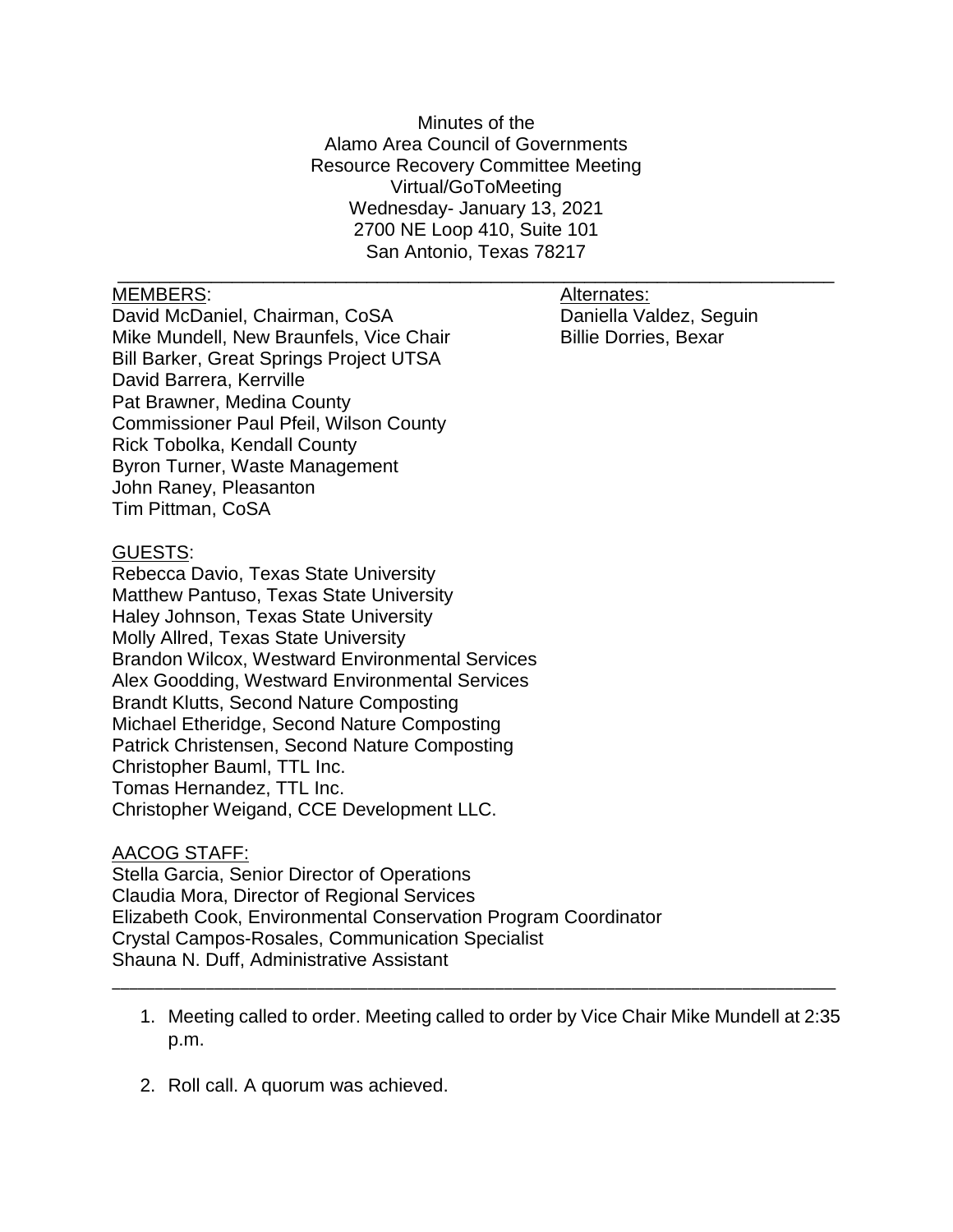Minutes of the Alamo Area Council of Governments Resource Recovery Committee Meeting Virtual/GoToMeeting Wednesday- January 13, 2021 2700 NE Loop 410, Suite 101 San Antonio, Texas 78217

\_\_\_\_\_\_\_\_\_\_\_\_\_\_\_\_\_\_\_\_\_\_\_\_\_\_\_\_\_\_\_\_\_\_\_\_\_\_\_\_\_\_\_\_\_\_\_\_\_\_\_\_\_\_\_\_\_\_\_\_\_\_\_\_\_\_\_\_\_

## MEMBERS: Alternates: Alternates:

David McDaniel, Chairman, CoSA Daniella Valdez, Seguin Mike Mundell, New Braunfels, Vice Chair **Billie Dorries**, Bexar Bill Barker, Great Springs Project UTSA David Barrera, Kerrville Pat Brawner, Medina County Commissioner Paul Pfeil, Wilson County Rick Tobolka, Kendall County Byron Turner, Waste Management John Raney, Pleasanton Tim Pittman, CoSA

## GUESTS:

Rebecca Davio, Texas State University Matthew Pantuso, Texas State University Haley Johnson, Texas State University Molly Allred, Texas State University Brandon Wilcox, Westward Environmental Services Alex Goodding, Westward Environmental Services Brandt Klutts, Second Nature Composting Michael Etheridge, Second Nature Composting Patrick Christensen, Second Nature Composting Christopher Bauml, TTL Inc. Tomas Hernandez, TTL Inc. Christopher Weigand, CCE Development LLC.

## AACOG STAFF:

Stella Garcia, Senior Director of Operations Claudia Mora, Director of Regional Services Elizabeth Cook, Environmental Conservation Program Coordinator Crystal Campos-Rosales, Communication Specialist Shauna N. Duff, Administrative Assistant

1. Meeting called to order. Meeting called to order by Vice Chair Mike Mundell at 2:35 p.m.

\_\_\_\_\_\_\_\_\_\_\_\_\_\_\_\_\_\_\_\_\_\_\_\_\_\_\_\_\_\_\_\_\_\_\_\_\_\_\_\_\_\_\_\_\_\_\_\_\_\_\_\_\_\_\_\_\_\_\_\_\_\_\_\_\_\_\_\_\_\_\_\_\_\_\_\_\_\_\_\_\_\_\_\_\_

2. Roll call. A quorum was achieved.